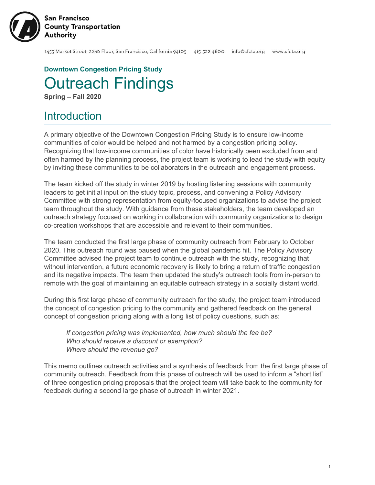

**Downtown Congestion Pricing Study** Outreach Findings **Spring – Fall 2020**

# **Introduction**

A primary objective of the Downtown Congestion Pricing Study is to ensure low-income communities of color would be helped and not harmed by a congestion pricing policy. Recognizing that low-income communities of color have historically been excluded from and often harmed by the planning process, the project team is working to lead the study with equity by inviting these communities to be collaborators in the outreach and engagement process.

The team kicked off the study in winter 2019 by hosting listening sessions with community leaders to get initial input on the study topic, process, and convening a Policy Advisory Committee with strong representation from equity-focused organizations to advise the project team throughout the study. With guidance from these stakeholders, the team developed an outreach strategy focused on working in collaboration with community organizations to design co-creation workshops that are accessible and relevant to their communities.

The team conducted the first large phase of community outreach from February to October 2020. This outreach round was paused when the global pandemic hit. The Policy Advisory Committee advised the project team to continue outreach with the study, recognizing that without intervention, a future economic recovery is likely to bring a return of traffic congestion and its negative impacts. The team then updated the study's outreach tools from in-person to remote with the goal of maintaining an equitable outreach strategy in a socially distant world.

During this first large phase of community outreach for the study, the project team introduced the concept of congestion pricing to the community and gathered feedback on the general concept of congestion pricing along with a long list of policy questions, such as:

*If congestion pricing was implemented, how much should the fee be? Who should receive a discount or exemption? Where should the revenue go?*

This memo outlines outreach activities and a synthesis of feedback from the first large phase of community outreach. Feedback from this phase of outreach will be used to inform a "short list" of three congestion pricing proposals that the project team will take back to the community for feedback during a second large phase of outreach in winter 2021.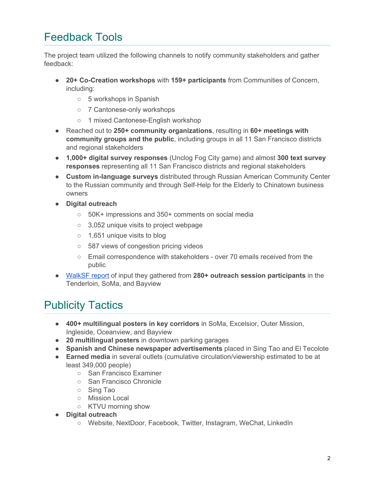# Feedback Tools

The project team utilized the following channels to notify community stakeholders and gather feedback:

- **20+ Co-Creation workshops** with **159+ participants** from Communities of Concern, including:
	- 5 workshops in Spanish
	- 7 Cantonese-only workshops
	- 1 mixed Cantonese-English workshop
- Reached out to **250+ community organizations**, resulting in **60+ meetings with community groups and the public**, including groups in all 11 San Francisco districts and regional stakeholders
- **1,000+ digital survey responses** (Unclog Fog City game) and almost **300 text survey responses** representing all 11 San Francisco districts and regional stakeholders
- **Custom in-language surveys** distributed through Russian American Community Center to the Russian community and through Self-Help for the Elderly to Chinatown business owners
- **● Digital outreach**
	- 50K+ impressions and 350+ comments on social media
	- 3,052 unique visits to project webpage
	- 1,651 unique visits to blog
	- 587 views of congestion pricing videos
	- Email correspondence with stakeholders over 70 emails received from the public
- [WalkSF](https://walksf.org/wp-content/uploads/2020/10/community-voices-on-congestion-pricing-report.pdf) report of input they gathered from **280+ outreach session participants** in the Tenderloin, SoMa, and Bayview

# Publicity Tactics

- **400+ multilingual posters in key corridors** in SoMa, Excelsior, Outer Mission, Ingleside, Oceanview, and Bayview
- **20 multilingual posters** in downtown parking garages
- **Spanish and Chinese newspaper advertisements** placed in Sing Tao and El Tecolote
- **Earned media** in several outlets (cumulative circulation/viewership estimated to be at least 349,000 people)
	- San Francisco Examiner
	- San Francisco Chronicle
	- Sing Tao
	- Mission Local
	- KTVU morning show
- **Digital outreach**
	- Website, NextDoor, Facebook, Twitter, Instagram, WeChat, LinkedIn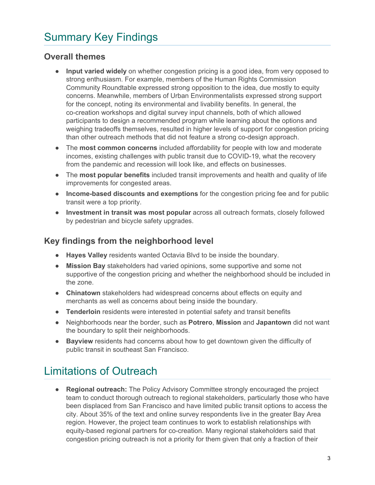# Summary Key Findings

# **Overall themes**

- **Input varied widely** on whether congestion pricing is a good idea, from very opposed to strong enthusiasm. For example, members of the Human Rights Commission Community Roundtable expressed strong opposition to the idea, due mostly to equity concerns. Meanwhile, members of Urban Environmentalists expressed strong support for the concept, noting its environmental and livability benefits. In general, the co-creation workshops and digital survey input channels, both of which allowed participants to design a recommended program while learning about the options and weighing tradeoffs themselves, resulted in higher levels of support for congestion pricing than other outreach methods that did not feature a strong co-design approach.
- The **most common concerns** included affordability for people with low and moderate incomes, existing challenges with public transit due to COVID-19, what the recovery from the pandemic and recession will look like, and effects on businesses.
- The **most popular benefits** included transit improvements and health and quality of life improvements for congested areas.
- **Income-based discounts and exemptions** for the congestion pricing fee and for public transit were a top priority.
- **Investment in transit was most popular** across all outreach formats, closely followed by pedestrian and bicycle safety upgrades.

# **Key findings from the neighborhood level**

- **Hayes Valley** residents wanted Octavia Blvd to be inside the boundary.
- **Mission Bay** stakeholders had varied opinions, some supportive and some not supportive of the congestion pricing and whether the neighborhood should be included in the zone.
- **Chinatown** stakeholders had widespread concerns about effects on equity and merchants as well as concerns about being inside the boundary.
- **Tenderloin** residents were interested in potential safety and transit benefits
- Neighborhoods near the border, such as **Potrero**, **Mission** and **Japantown** did not want the boundary to split their neighborhoods.
- **Bayview** residents had concerns about how to get downtown given the difficulty of public transit in southeast San Francisco.

# Limitations of Outreach

● **Regional outreach:** The Policy Advisory Committee strongly encouraged the project team to conduct thorough outreach to regional stakeholders, particularly those who have been displaced from San Francisco and have limited public transit options to access the city. About 35% of the text and online survey respondents live in the greater Bay Area region. However, the project team continues to work to establish relationships with equity-based regional partners for co-creation. Many regional stakeholders said that congestion pricing outreach is not a priority for them given that only a fraction of their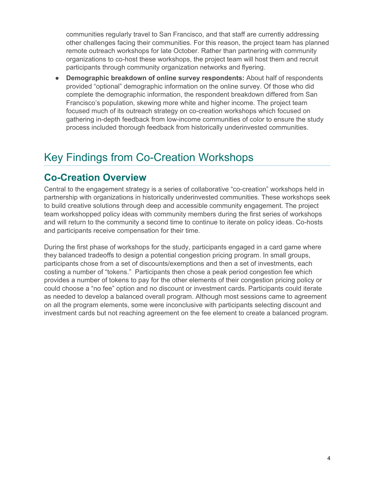communities regularly travel to San Francisco, and that staff are currently addressing other challenges facing their communities. For this reason, the project team has planned remote outreach workshops for late October. Rather than partnering with community organizations to co-host these workshops, the project team will host them and recruit participants through community organization networks and flyering.

● **Demographic breakdown of online survey respondents:** About half of respondents provided "optional" demographic information on the online survey. Of those who did complete the demographic information, the respondent breakdown differed from San Francisco's population, skewing more white and higher income. The project team focused much of its outreach strategy on co-creation workshops which focused on gathering in-depth feedback from low-income communities of color to ensure the study process included thorough feedback from historically underinvested communities.

# Key Findings from Co-Creation Workshops

# **Co-Creation Overview**

Central to the engagement strategy is a series of collaborative "co-creation" workshops held in partnership with organizations in historically underinvested communities. These workshops seek to build creative solutions through deep and accessible community engagement. The project team workshopped policy ideas with community members during the first series of workshops and will return to the community a second time to continue to iterate on policy ideas. Co-hosts and participants receive compensation for their time.

During the first phase of workshops for the study, participants engaged in a card game where they balanced tradeoffs to design a potential congestion pricing program. In small groups, participants chose from a set of discounts/exemptions and then a set of investments, each costing a number of "tokens." Participants then chose a peak period congestion fee which provides a number of tokens to pay for the other elements of their congestion pricing policy or could choose a "no fee" option and no discount or investment cards. Participants could iterate as needed to develop a balanced overall program. Although most sessions came to agreement on all the program elements, some were inconclusive with participants selecting discount and investment cards but not reaching agreement on the fee element to create a balanced program.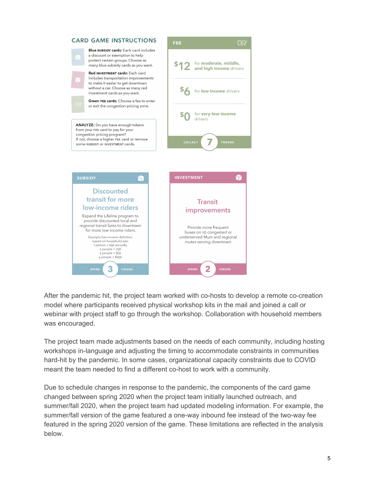

After the pandemic hit, the project team worked with co-hosts to develop a remote co-creation model where participants received physical workshop kits in the mail and joined a call or webinar with project staff to go through the workshop. Collaboration with household members was encouraged.

The project team made adjustments based on the needs of each community, including hosting workshops in-language and adjusting the timing to accommodate constraints in communities hard-hit by the pandemic. In some cases, organizational capacity constraints due to COVID meant the team needed to find a different co-host to work with a community.

Due to schedule changes in response to the pandemic, the components of the card game changed between spring 2020 when the project team initially launched outreach, and summer/fall 2020, when the project team had updated modeling information. For example, the summer/fall version of the game featured a one-way inbound fee instead of the two-way fee featured in the spring 2020 version of the game. These limitations are reflected in the analysis below.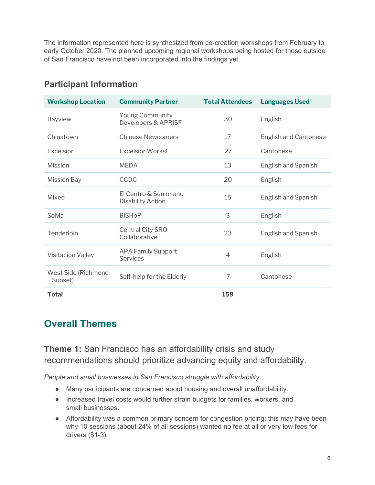The information represented here is synthesized from co-creation workshops from February to early October 2020. The planned upcoming regional workshops being hosted for those outside of San Francisco have not been incorporated into the findings yet.

| <b>Workshop Location</b>         | <b>Community Partner</b>                          | <b>Total Attendees</b> | <b>Languages Used</b>        |
|----------------------------------|---------------------------------------------------|------------------------|------------------------------|
| Bayview                          | <b>Young Community</b><br>Developers & APRISF     | 30                     | English                      |
| Chinatown                        | <b>Chinese Newcomers</b>                          | 17                     | <b>English and Cantonese</b> |
| Excelsior                        | <b>Excelsior Works!</b>                           | 27                     | Cantonese                    |
| Mission                          | <b>MEDA</b>                                       | 13                     | <b>English and Spanish</b>   |
| <b>Mission Bay</b>               | CCDC                                              | 20                     | English                      |
| Mixed                            | FLCentro & Senior and<br><b>Disability Action</b> | 15                     | English and Spanish          |
| SoMa                             | <b>BiSHoP</b>                                     | 3                      | English                      |
| Tenderloin                       | Central City SRO<br>Collaborative                 | 23                     | English and Spanish          |
| <b>Visitacion Valley</b>         | <b>APA Family Support</b><br>Services             | $\overline{4}$         | English                      |
| West Side (Richmond<br>+ Sunset) | Self-help for the Elderly                         | 7                      | Cantonese                    |
| Total                            |                                                   | 159                    |                              |

# **Participant Information**

# **Overall Themes**

**Theme 1:** San Francisco has an affordability crisis and study recommendations should prioritize advancing equity and affordability.

*People and small businesses in San Francisco struggle with affordability*

- Many participants are concerned about housing and overall unaffordability.
- Increased travel costs would further strain budgets for families, workers, and small businesses.
- Affordability was a common primary concern for congestion pricing; this may have been why 10 sessions (about 24% of all sessions) wanted no fee at all or very low fees for drivers (\$1-3)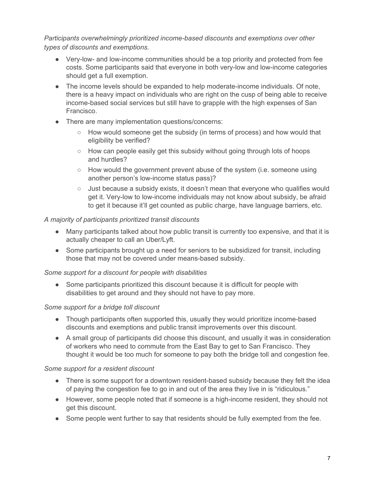*Participants overwhelmingly prioritized income-based discounts and exemptions over other types of discounts and exemptions.*

- Very-low- and low-income communities should be a top priority and protected from fee costs. Some participants said that everyone in both very-low and low-income categories should get a full exemption.
- The income levels should be expanded to help moderate-income individuals. Of note, there is a heavy impact on individuals who are right on the cusp of being able to receive income-based social services but still have to grapple with the high expenses of San Francisco.
- There are many implementation questions/concerns:
	- $\circ$  How would someone get the subsidy (in terms of process) and how would that eligibility be verified?
	- How can people easily get this subsidy without going through lots of hoops and hurdles?
	- $\circ$  How would the government prevent abuse of the system (i.e. someone using another person's low-income status pass)?
	- $\circ$  Just because a subsidy exists, it doesn't mean that everyone who qualifies would get it. Very-low to low-income individuals may not know about subsidy, be afraid to get it because it'll get counted as public charge, have language barriers, etc.

## *A majority of participants prioritized transit discounts*

- Many participants talked about how public transit is currently too expensive, and that it is actually cheaper to call an Uber/Lyft.
- Some participants brought up a need for seniors to be subsidized for transit, including those that may not be covered under means-based subsidy.

## *Some support for a discount for people with disabilities*

• Some participants prioritized this discount because it is difficult for people with disabilities to get around and they should not have to pay more.

## *Some support for a bridge toll discount*

- Though participants often supported this, usually they would prioritize income-based discounts and exemptions and public transit improvements over this discount.
- A small group of participants did choose this discount, and usually it was in consideration of workers who need to commute from the East Bay to get to San Francisco. They thought it would be too much for someone to pay both the bridge toll and congestion fee.

## *Some support for a resident discount*

- There is some support for a downtown resident-based subsidy because they felt the idea of paying the congestion fee to go in and out of the area they live in is "ridiculous."
- However, some people noted that if someone is a high-income resident, they should not get this discount.
- Some people went further to say that residents should be fully exempted from the fee.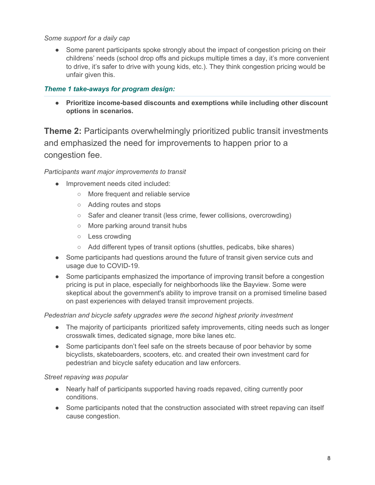#### *Some support for a daily cap*

• Some parent participants spoke strongly about the impact of congestion pricing on their childrens' needs (school drop offs and pickups multiple times a day, it's more convenient to drive, it's safer to drive with young kids, etc.). They think congestion pricing would be unfair given this.

### *Theme 1 take-aways for program design:*

**● Prioritize income-based discounts and exemptions while including other discount options in scenarios.**

**Theme 2:** Participants overwhelmingly prioritized public transit investments and emphasized the need for improvements to happen prior to a congestion fee.

*Participants want major improvements to transit*

- Improvement needs cited included:
	- More frequent and reliable service
	- Adding routes and stops
	- Safer and cleaner transit (less crime, fewer collisions, overcrowding)
	- More parking around transit hubs
	- Less crowding
	- Add different types of transit options (shuttles, pedicabs, bike shares)
- Some participants had questions around the future of transit given service cuts and usage due to COVID-19.
- Some participants emphasized the importance of improving transit before a congestion pricing is put in place, especially for neighborhoods like the Bayview. Some were skeptical about the government's ability to improve transit on a promised timeline based on past experiences with delayed transit improvement projects.

#### *Pedestrian and bicycle safety upgrades were the second highest priority investment*

- The majority of participants prioritized safety improvements, citing needs such as longer crosswalk times, dedicated signage, more bike lanes etc.
- Some participants don't feel safe on the streets because of poor behavior by some bicyclists, skateboarders, scooters, etc. and created their own investment card for pedestrian and bicycle safety education and law enforcers.

#### *Street repaving was popular*

- Nearly half of participants supported having roads repaved, citing currently poor conditions.
- Some participants noted that the construction associated with street repaving can itself cause congestion.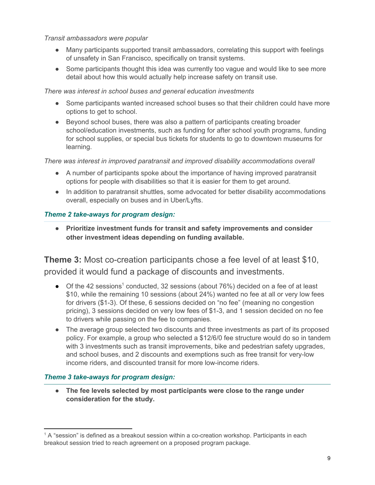*Transit ambassadors were popular*

- Many participants supported transit ambassadors, correlating this support with feelings of unsafety in San Francisco, specifically on transit systems.
- Some participants thought this idea was currently too vague and would like to see more detail about how this would actually help increase safety on transit use.

*There was interest in school buses and general education investments*

- Some participants wanted increased school buses so that their children could have more options to get to school.
- Beyond school buses, there was also a pattern of participants creating broader school/education investments, such as funding for after school youth programs, funding for school supplies, or special bus tickets for students to go to downtown museums for learning.

*There was interest in improved paratransit and improved disability accommodations overall*

- A number of participants spoke about the importance of having improved paratransit options for people with disabilities so that it is easier for them to get around.
- In addition to paratransit shuttles, some advocated for better disability accommodations overall, especially on buses and in Uber/Lyfts.

# *Theme 2 take-aways for program design:*

**● Prioritize investment funds for transit and safety improvements and consider other investment ideas depending on funding available.**

**Theme 3:** Most co-creation participants chose a fee level of at least \$10, provided it would fund a package of discounts and investments.

- Of the 42 sessions<sup>1</sup> conducted, 32 sessions (about 76%) decided on a fee of at least \$10, while the remaining 10 sessions (about 24%) wanted no fee at all or very low fees for drivers (\$1-3). Of these, 6 sessions decided on "no fee" (meaning no congestion pricing), 3 sessions decided on very low fees of \$1-3, and 1 session decided on no fee to drivers while passing on the fee to companies.
- The average group selected two discounts and three investments as part of its proposed policy. For example, a group who selected a \$12/6/0 fee structure would do so in tandem with 3 investments such as transit improvements, bike and pedestrian safety upgrades, and school buses, and 2 discounts and exemptions such as free transit for very-low income riders, and discounted transit for more low-income riders.

## *Theme 3 take-aways for program design:*

**● The fee levels selected by most participants were close to the range under consideration for the study.**

 $1$  A "session" is defined as a breakout session within a co-creation workshop. Participants in each breakout session tried to reach agreement on a proposed program package.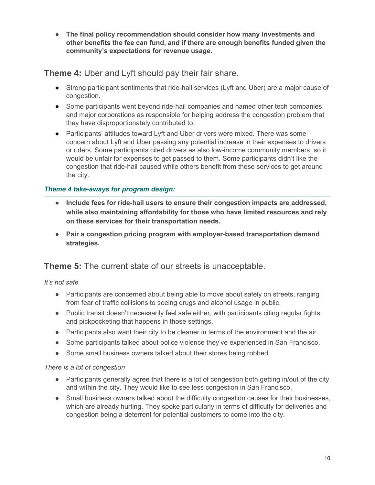**● The final policy recommendation should consider how many investments and other benefits the fee can fund, and if there are enough benefits funded given the community's expectations for revenue usage.**

**Theme 4:** Uber and Lyft should pay their fair share.

- Strong participant sentiments that ride-hail services (Lyft and Uber) are a major cause of congestion.
- Some participants went beyond ride-hail companies and named other tech companies and major corporations as responsible for helping address the congestion problem that they have disproportionately contributed to.
- Participants' attitudes toward Lyft and Uber drivers were mixed. There was some concern about Lyft and Uber passing any potential increase in their expenses to drivers or riders. Some participants cited drivers as also low-income community members, so it would be unfair for expenses to get passed to them. Some participants didn't like the congestion that ride-hail caused while others benefit from these services to get around the city.

# *Theme 4 take-aways for program design:*

- **● Include fees for ride-hail users to ensure their congestion impacts are addressed, while also maintaining affordability for those who have limited resources and rely on these services for their transportation needs.**
- **● Pair a congestion pricing program with employer-based transportation demand strategies.**

# **Theme 5:** The current state of our streets is unacceptable.

*It's not safe*

- Participants are concerned about being able to move about safely on streets, ranging from fear of traffic collisions to seeing drugs and alcohol usage in public.
- Public transit doesn't necessarily feel safe either, with participants citing regular fights and pickpocketing that happens in those settings.
- Participants also want their city to be cleaner in terms of the environment and the air.
- Some participants talked about police violence they've experienced in San Francisco.
- Some small business owners talked about their stores being robbed.

## *There is a lot of congestion*

- Participants generally agree that there is a lot of congestion both getting in/out of the city and within the city. They would like to see less congestion in San Francisco.
- Small business owners talked about the difficulty congestion causes for their businesses, which are already hurting. They spoke particularly in terms of difficulty for deliveries and congestion being a deterrent for potential customers to come into the city.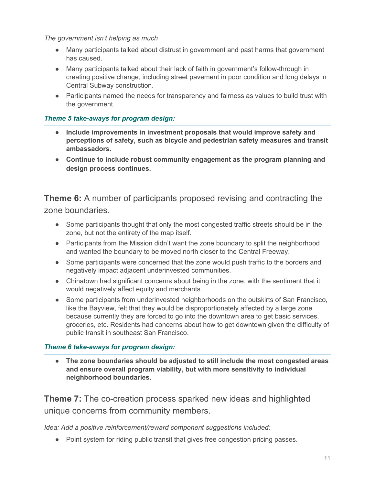*The government isn't helping as much*

- Many participants talked about distrust in government and past harms that government has caused.
- Many participants talked about their lack of faith in government's follow-through in creating positive change, including street pavement in poor condition and long delays in Central Subway construction.
- Participants named the needs for transparency and fairness as values to build trust with the government.

## *Theme 5 take-aways for program design:*

- **Include improvements in investment proposals that would improve safety and perceptions of safety, such as bicycle and pedestrian safety measures and transit ambassadors.**
- **● Continue to include robust community engagement as the program planning and design process continues.**

**Theme 6:** A number of participants proposed revising and contracting the zone boundaries.

- Some participants thought that only the most congested traffic streets should be in the zone, but not the entirety of the map itself.
- Participants from the Mission didn't want the zone boundary to split the neighborhood and wanted the boundary to be moved north closer to the Central Freeway.
- Some participants were concerned that the zone would push traffic to the borders and negatively impact adjacent underinvested communities.
- Chinatown had significant concerns about being in the zone, with the sentiment that it would negatively affect equity and merchants.
- Some participants from underinvested neighborhoods on the outskirts of San Francisco, like the Bayview, felt that they would be disproportionately affected by a large zone because currently they are forced to go into the downtown area to get basic services, groceries, etc. Residents had concerns about how to get downtown given the difficulty of public transit in southeast San Francisco.

## *Theme 6 take-aways for program design:*

● **The zone boundaries should be adjusted to still include the most congested areas and ensure overall program viability, but with more sensitivity to individual neighborhood boundaries.**

**Theme 7:** The co-creation process sparked new ideas and highlighted unique concerns from community members.

*Idea: Add a positive reinforcement/reward component suggestions included:*

● Point system for riding public transit that gives free congestion pricing passes.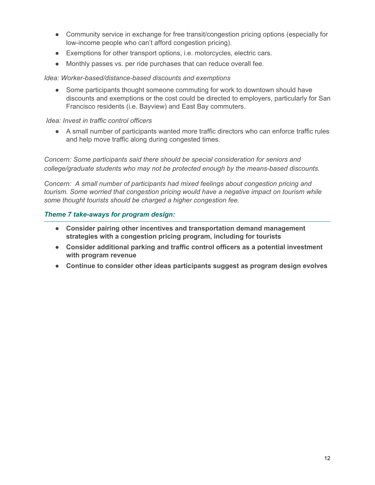- Community service in exchange for free transit/congestion pricing options (especially for low-income people who can't afford congestion pricing).
- Exemptions for other transport options, i.e. motorcycles, electric cars.
- Monthly passes vs. per ride purchases that can reduce overall fee.

*Idea: Worker-based/distance-based discounts and exemptions*

• Some participants thought someone commuting for work to downtown should have discounts and exemptions or the cost could be directed to employers, particularly for San Francisco residents (i.e. Bayview) and East Bay commuters.

*Idea: Invest in traffic control officers*

● A small number of participants wanted more traffic directors who can enforce traffic rules and help move traffic along during congested times.

*Concern: Some participants said there should be special consideration for seniors and college/graduate students who may not be protected enough by the means-based discounts.*

*Concern: A small number of participants had mixed feelings about congestion pricing and tourism. Some worried that congestion pricing would have a negative impact on tourism while some thought tourists should be charged a higher congestion fee.*

#### *Theme 7 take-aways for program design:*

- **● Consider pairing other incentives and transportation demand management strategies with a congestion pricing program, including for tourists**
- **● Consider additional parking and traffic control officers as a potential investment with program revenue**
- **● Continue to consider other ideas participants suggest as program design evolves**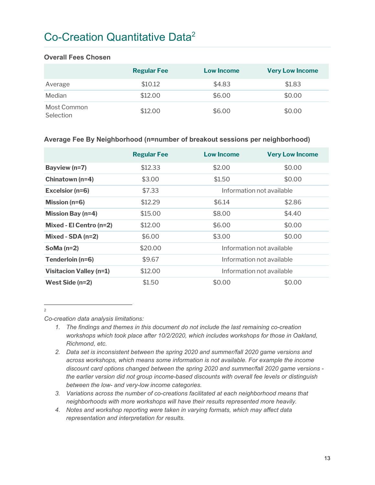# Co-Creation Quantitative Data<sup>2</sup>

#### **Overall Fees Chosen**

|                          | <b>Regular Fee</b> | <b>Low Income</b> | <b>Very Low Income</b> |
|--------------------------|--------------------|-------------------|------------------------|
| Average                  | \$10.12            | \$4.83            | \$1.83                 |
| Median                   | \$12.00            | \$6.00            | \$0.00                 |
| Most Common<br>Selection | \$12.00            | \$6.00            | \$0.00                 |

#### **Average Fee By Neighborhood (n=number of breakout sessions per neighborhood)**

|                                | <b>Regular Fee</b> | Low Income                | <b>Very Low Income</b> |
|--------------------------------|--------------------|---------------------------|------------------------|
| Bayview (n=7)                  | \$12.33            | \$2.00                    | \$0.00                 |
| Chinatown (n=4)                | \$3.00             | \$1.50                    | \$0.00                 |
| Excelsior (n=6)                | \$7.33             | Information not available |                        |
| Mission ( $n=6$ )              | \$12.29            | \$6.14                    | \$2.86                 |
| <b>Mission Bay (n=4)</b>       | \$15.00            | \$8.00                    | \$4.40                 |
| Mixed - El Centro (n=2)        | \$12.00            | \$6.00                    | \$0.00                 |
| Mixed - $SDA$ (n=2)            | \$6.00             | \$3.00                    | \$0.00                 |
| SoMa $(n=2)$                   | \$20.00            | Information not available |                        |
| Tenderloin (n=6)               | \$9.67             | Information not available |                        |
| <b>Visitacion Valley (n=1)</b> | \$12.00            | Information not available |                        |
| West Side (n=2)                | \$1.50             | \$0.00                    | \$0.00                 |

2

*Co-creation data analysis limitations:*

- *1. The findings and themes in this document do not include the last remaining co-creation workshops which took place after 10/2/2020, which includes workshops for those in Oakland, Richmond, etc.*
- *2. Data set is inconsistent between the spring 2020 and summer/fall 2020 game versions and across workshops, which means some information is not available. For example the income discount card options changed between the spring 2020 and summer/fall 2020 game versions the earlier version did not group income-based discounts with overall fee levels or distinguish between the low- and very-low income categories.*
- *3. Variations across the number of co-creations facilitated at each neighborhood means that neighborhoods with more workshops will have their results represented more heavily.*
- *4. Notes and workshop reporting were taken in varying formats, which may affect data representation and interpretation for results.*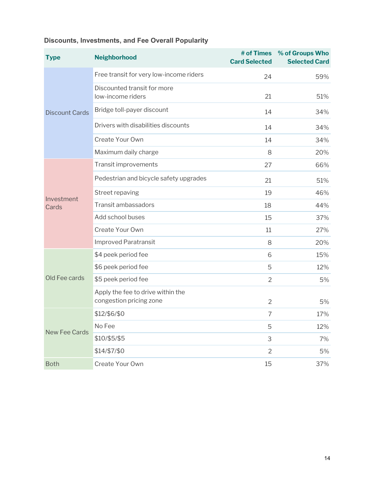| <b>Type</b>           | <b>Neighborhood</b>                                          | <b>Card Selected</b> | # of Times % of Groups Who<br><b>Selected Card</b> |
|-----------------------|--------------------------------------------------------------|----------------------|----------------------------------------------------|
| <b>Discount Cards</b> | Free transit for very low-income riders                      | 24                   | 59%                                                |
|                       | Discounted transit for more<br>low-income riders             | 21                   | 51%                                                |
|                       | Bridge toll-payer discount                                   | 14                   | 34%                                                |
|                       | Drivers with disabilities discounts                          | 14                   | 34%                                                |
|                       | Create Your Own                                              | 14                   | 34%                                                |
|                       | Maximum daily charge                                         | 8                    | 20%                                                |
| Investment<br>Cards   | Transit improvements                                         | 27                   | 66%                                                |
|                       | Pedestrian and bicycle safety upgrades                       | 21                   | 51%                                                |
|                       | Street repaving                                              | 19                   | 46%                                                |
|                       | Transit ambassadors                                          | 18                   | 44%                                                |
|                       | Add school buses                                             | 15                   | 37%                                                |
|                       | Create Your Own                                              | 11                   | 27%                                                |
|                       | <b>Improved Paratransit</b>                                  | 8                    | 20%                                                |
| Old Fee cards         | \$4 peek period fee                                          | 6                    | 15%                                                |
|                       | \$6 peek period fee                                          | 5                    | 12%                                                |
|                       | \$5 peek period fee                                          | $\overline{2}$       | 5%                                                 |
|                       | Apply the fee to drive within the<br>congestion pricing zone | $\overline{2}$       | 5%                                                 |
| <b>New Fee Cards</b>  | \$12/\$6/\$0                                                 | $\overline{7}$       | 17%                                                |
|                       | No Fee                                                       | 5                    | 12%                                                |
|                       | \$10/\$5/\$5                                                 | 3                    | 7%                                                 |
|                       | \$14/\$7/\$0                                                 | $\overline{2}$       | 5%                                                 |
| <b>Both</b>           | Create Your Own                                              | 15                   | 37%                                                |

# **Discounts, Investments, and Fee Overall Popularity**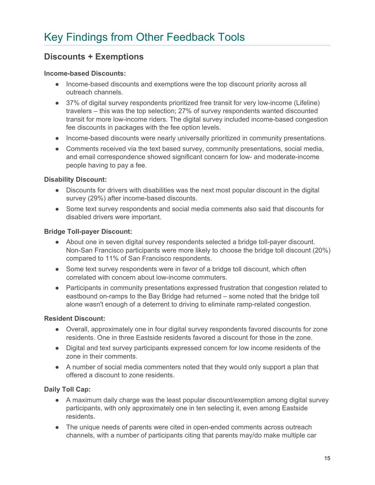# **Discounts + Exemptions**

#### **Income-based Discounts:**

- Income-based discounts and exemptions were the top discount priority across all outreach channels.
- 37% of digital survey respondents prioritized free transit for very low-income (Lifeline) travelers – this was the top selection; 27% of survey respondents wanted discounted transit for more low-income riders. The digital survey included income-based congestion fee discounts in packages with the fee option levels.
- Income-based discounts were nearly universally prioritized in community presentations.
- Comments received via the text based survey, community presentations, social media, and email correspondence showed significant concern for low- and moderate-income people having to pay a fee.

#### **Disability Discount:**

- Discounts for drivers with disabilities was the next most popular discount in the digital survey (29%) after income-based discounts.
- Some text survey respondents and social media comments also said that discounts for disabled drivers were important.

#### **Bridge Toll-payer Discount:**

- About one in seven digital survey respondents selected a bridge toll-payer discount. Non-San Francisco participants were more likely to choose the bridge toll discount (20%) compared to 11% of San Francisco respondents.
- Some text survey respondents were in favor of a bridge toll discount, which often correlated with concern about low-income commuters.
- Participants in community presentations expressed frustration that congestion related to eastbound on-ramps to the Bay Bridge had returned – some noted that the bridge toll alone wasn't enough of a deterrent to driving to eliminate ramp-related congestion.

## **Resident Discount:**

- Overall, approximately one in four digital survey respondents favored discounts for zone residents. One in three Eastside residents favored a discount for those in the zone.
- Digital and text survey participants expressed concern for low income residents of the zone in their comments.
- A number of social media commenters noted that they would only support a plan that offered a discount to zone residents.

## **Daily Toll Cap:**

- A maximum daily charge was the least popular discount/exemption among digital survey participants, with only approximately one in ten selecting it, even among Eastside residents.
- The unique needs of parents were cited in open-ended comments across outreach channels, with a number of participants citing that parents may/do make multiple car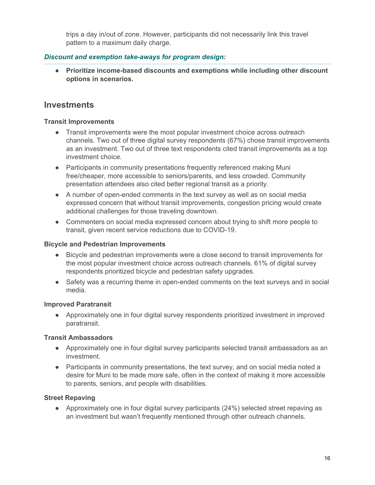trips a day in/out of zone. However, participants did not necessarily link this travel pattern to a maximum daily charge.

## *Discount and exemption take-aways for program design:*

**● Prioritize income-based discounts and exemptions while including other discount options in scenarios.**

# **Investments**

#### **Transit Improvements**

- Transit improvements were the most popular investment choice across outreach channels. Two out of three digital survey respondents (67%) chose transit improvements as an investment. Two out of three text respondents cited transit improvements as a top investment choice.
- Participants in community presentations frequently referenced making Muni free/cheaper, more accessible to seniors/parents, and less crowded. Community presentation attendees also cited better regional transit as a priority.
- A number of open-ended comments in the text survey as well as on social media expressed concern that without transit improvements, congestion pricing would create additional challenges for those traveling downtown.
- Commenters on social media expressed concern about trying to shift more people to transit, given recent service reductions due to COVID-19.

### **Bicycle and Pedestrian Improvements**

- Bicycle and pedestrian improvements were a close second to transit improvements for the most popular investment choice across outreach channels. 61% of digital survey respondents prioritized bicycle and pedestrian safety upgrades.
- Safety was a recurring theme in open-ended comments on the text surveys and in social media.

## **Improved Paratransit**

● Approximately one in four digital survey respondents prioritized investment in improved paratransit.

## **Transit Ambassadors**

- Approximately one in four digital survey participants selected transit ambassadors as an investment.
- Participants in community presentations, the text survey, and on social media noted a desire for Muni to be made more safe, often in the context of making it more accessible to parents, seniors, and people with disabilities.

## **Street Repaving**

● Approximately one in four digital survey participants (24%) selected street repaving as an investment but wasn't frequently mentioned through other outreach channels.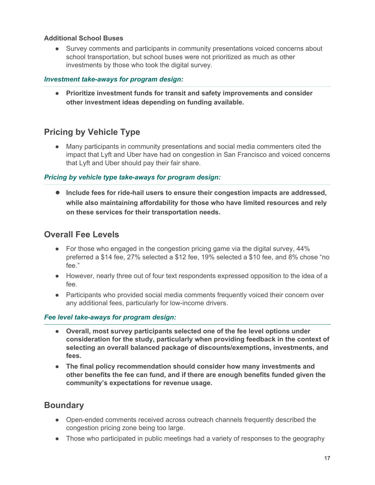#### **Additional School Buses**

• Survey comments and participants in community presentations voiced concerns about school transportation, but school buses were not prioritized as much as other investments by those who took the digital survey.

### *Investment take-aways for program design:*

**● Prioritize investment funds for transit and safety improvements and consider other investment ideas depending on funding available.**

# **Pricing by Vehicle Type**

● Many participants in community presentations and social media commenters cited the impact that Lyft and Uber have had on congestion in San Francisco and voiced concerns that Lyft and Uber should pay their fair share.

## *Pricing by vehicle type take-aways for program design:*

**● Include fees for ride-hail users to ensure their congestion impacts are addressed, while also maintaining affordability for those who have limited resources and rely on these services for their transportation needs.**

# **Overall Fee Levels**

- For those who engaged in the congestion pricing game via the digital survey, 44% preferred a \$14 fee, 27% selected a \$12 fee, 19% selected a \$10 fee, and 8% chose "no fee."
- However, nearly three out of four text respondents expressed opposition to the idea of a fee.
- Participants who provided social media comments frequently voiced their concern over any additional fees, particularly for low-income drivers.

## *Fee level take-aways for program design:*

- **● Overall, most survey participants selected one of the fee level options under consideration for the study, particularly when providing feedback in the context of selecting an overall balanced package of discounts/exemptions, investments, and fees.**
- **● The final policy recommendation should consider how many investments and other benefits the fee can fund, and if there are enough benefits funded given the community's expectations for revenue usage.**

# **Boundary**

- Open-ended comments received across outreach channels frequently described the congestion pricing zone being too large.
- Those who participated in public meetings had a variety of responses to the geography